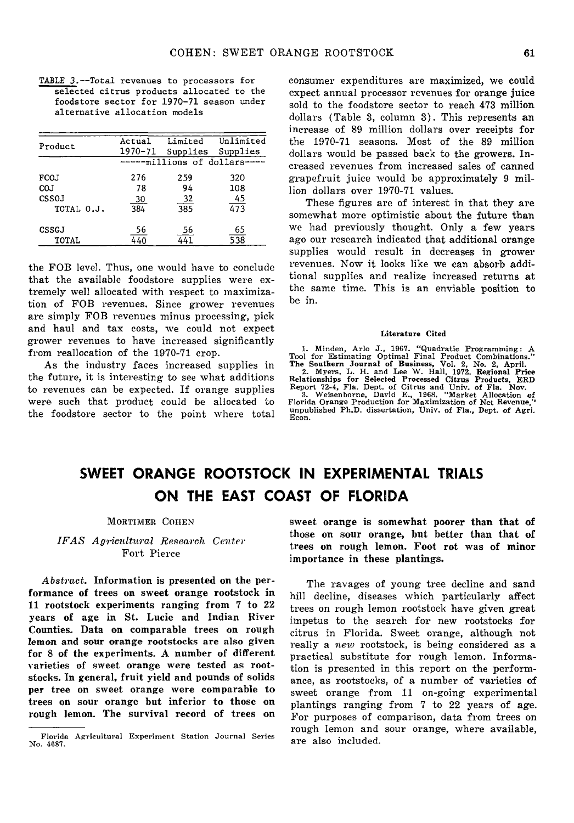TABLE 3.--Total revenues to processors for selected citrus products allocated to the foodstore sector for 1970-71 season under alternative allocation models

| Product    | Actual<br>1970-71            | Limited<br>Supplies | Unlimited<br>Supplies |  |  |  |  |
|------------|------------------------------|---------------------|-----------------------|--|--|--|--|
|            | -----millions of dollars---- |                     |                       |  |  |  |  |
| FCOJ       | 276                          | 259                 | 320                   |  |  |  |  |
| COJ        | 78                           | 94                  | 108                   |  |  |  |  |
| CSSOJ      | <u>30</u>                    | 32                  | 45                    |  |  |  |  |
| TOTAL 0.J. | 384                          | 385                 | 473                   |  |  |  |  |
| CSSGJ      | 56                           | 56                  | 65                    |  |  |  |  |
| TOTAL      | 4 40                         | 441                 | 538                   |  |  |  |  |

the FOB level. Thus, one would have to conclude that the available foodstore supplies were extremely well allocated with respect to maximization of FOB revenues. Since grower revenues are simply FOB revenues minus processing, pick and haul and tax costs, we could not expect grower revenues to have increased significantly from reallocation of the 1970-71 crop.

As the industry faces increased supplies in the future, it is interesting to see what additions to revenues can be expected. If orange supplies were such that product could be allocated to the foodstore sector to the point where total consumer expenditures are maximized, we could expect annual processor revenues for orange juice sold to the foodstore sector to reach 473 million dollars (Table 3, column 3). This represents an increase of 89 million dollars over receipts for the 1970-71 seasons. Most of the 89 million dollars would be passed back to the growers. Increased revenues from increased sales of canned grapefruit juice would be approximately 9 million dollars over 1970-71 values.

These figures are of interest in that they are somewhat more optimistic about the future than we had previously thought. Only a few years ago our research indicated that additional orange supplies would result in decreases in grower revenues. Now it looks like we can absorb additional supplies and realize increased returns at the same time. This is an enviable position to be in.

#### Literature Cited

1. Minden, Ario J., 1967. "Quadratic Programming: A Tool for Estimating Optimal Final Product Combinations.'' The Southern Journal of Business, Vol. 2, No. 2, April. 2. Myers, L. H. and Lee W. Hall, 1972. Regional Price Relationships for Selected Processed Citrus Products, ERD Report 72-4, Fla. Dept. of Citrus and Univ. of Fla. Nov.<br>3. Weisenborne, David E., 1968. "Market Allocation of<br>3. Weisenborne, Production for Maximization of Net Revenue," unpublished Ph.D. dissertation, Univ. of Fla., Dept. of Agri. Econ.

# **SWEET ORANGE ROOTSTOCK IN EXPERIMENTAL TRIALS ON THE EAST COAST OF FLORIDA**

#### MORTIMER COHEN

*/FAS Agricultural Research Center*  Fort Pierce

*Abstract.* Information is presented on the performance of trees on sweet orange rootstock in 11 rootstock experiments ranging from 7 to 22 years of age in St. Lucie and Indian River Counties. Data on comparable trees on rough lemon and sour orange rootstocks are also given for 8 of the experiments. A number of different Yarieties of sweet orange were tested as rootstocks. In general, fruit yield and pounds of solids per tree on sweet orange were comparable to trees on sour orange but inferior to those on rough lemon. The survival record of trees on

sweet orange is somewhat poorer than that of those on sour orange, but better than that of trees on rough lemon. Foot rot was of minor importance in these plantings.

The ravages of young tree decline and sand hill decline, diseases which particularly affect trees on rough lemon rootstock have given great impetus to the search for new rootstocks for citrus in Florida. Sweet orange, although not really a *new* rootstock, is being considered as a practical substitute for rough lemon. Information is presented in this report on the performance, as rootstocks, of a number of varieties of sweet orange from 11 on-going experimental plantings ranging from 7 to 22 years of age. For purposes of comparison, data from trees on rough lemon and sour orange, where available, are also included.

Florida Agricultural Experiment Station Journal Series No. 4687.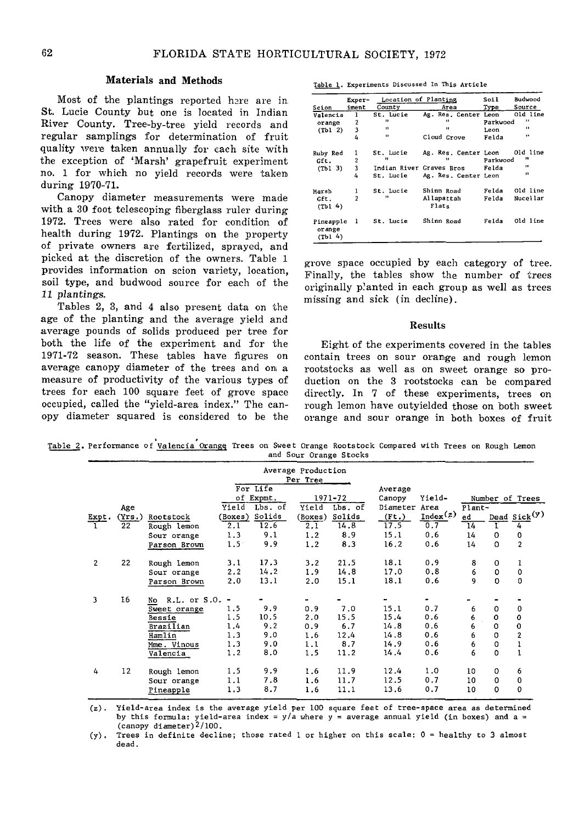# Materials and Methods

Most of the plantings reported here are in St. Lucie County but one is located in Indian River County. Tree-by-tree yield records and regular samplings for determination of fruit quality were taken annually for cach site with the exception of 'Marsh' grapefruit experiment no. 1 for which no yield records were taken during 1970-71.

Canopy diameter measurements were made with a 30 foot telescoping fiberglass ruler during 1972. Trees were also rated for condition of health during 1972. Plantings on the property of private owners are fertilized, sprayed, and picked at the discretion of the owners. Table 1 provides information on scion variety, location, soil type, and budwood source for each of the *11* plantings.

Tables 2, 3, and 4 also present data on the age of the planting and the average yield and average pounds of solids produced per tree for both the life of the experiment and for the 1971-72 season. These tables have figures on average canopy diameter of the trees and on a measure of productivity of the various types of trees for each 100 square feet of grove space occupied, called the "yield-area index." The canopy diameter squared is considered to be the

Table 1. Experiments Discussed In This Article

|                                | Exper-         | Location of Planting     |                      | Soil     | Budwood      |
|--------------------------------|----------------|--------------------------|----------------------|----------|--------------|
| Scion                          | iment          | County                   | Area                 | Type     | Source       |
| Valencia                       | 1              | St. Lucie                | Ag. Res. Center Leon |          | Old line     |
| orange                         | 2              | $^{\prime \prime}$       | $\bullet$            | Parkwood | ,,           |
| (Tb1 2)                        | 3              | $\mathbf{H}$             | $\mathbf{H}$         | Leon     | $\mathbf{u}$ |
|                                | 4              | $\mathbf{r}$             | Cloud Grove          | Felda    | $\bullet$    |
| Ruby Red                       | 1              | St. Lucie                | Ag. Res. Center Leon |          | Old line     |
| Gft.                           | $\overline{2}$ | $\mathbf{H}$             | n                    | Parkwood | 88           |
| (Tb1 3)                        | 3              | Indian River Graves Bros |                      | Felda    | $\bullet$    |
|                                | 4              | St. Lucie                | Ag. Res. Center Leon |          | $\bullet$    |
| Marsh                          | ı              | St. Lucie                | Shinn Road           | Felda    | Old line     |
| Gft.<br>(Th1 4)                | $\overline{2}$ | $\mathbf{r}$             | Allapattah<br>Flats  | Felda    | Nucellar     |
| Pineapple<br>orange<br>(Tb1 4) | -1             | St. Lucie                | Shinn Road           | Felda    | Old line     |

grove space occupied by each category of tree. Finally, the tables show the number of trees originally p'anted in each group as well as trees missing and sick (in decline).

### Results

Eight of the experiments covered in the tables contain trees on sour orange and rough lemon rootstocks as well as on sweet orange so production on the 3 rootstocks can be compared directly. In 7 of these experiments, trees on rough lemon have outyielded those on both sweet orange and sour orange in both boxes of fruit

. . ~·Performance of Valencia Orangs Trees on Sweet Orange Rootstock Compared with Trees on Rough Lemon and Sour Orange Stocks

|                |               |                    |               |                        | Average Production |                    |                         |          |                 |             |                 |
|----------------|---------------|--------------------|---------------|------------------------|--------------------|--------------------|-------------------------|----------|-----------------|-------------|-----------------|
|                |               |                    |               |                        | Per Tree           |                    |                         |          |                 |             |                 |
|                |               |                    |               | For Life               |                    |                    | Average                 |          |                 |             |                 |
|                |               |                    | Yield         | of Expmt.<br>$Lbs.$ of | Yield              | 1971-72<br>Lbs. of | Canopy<br>Diameter Area | Yield-   |                 |             | Number of Trees |
|                | Age<br>(Yrs.) | Rootstock          | (Boxes)       | Solids                 |                    | Solids             | (It.)                   | Index(z) | Plant-<br>ed    |             | Dead $Sick(y)$  |
| Expt.          | 22            | Rough lemon        | 2.1           | 12.6                   | (Boxes)<br>2.1     | 14.8               | 17.5                    | 0.7      | $\overline{14}$ | т           | $\overline{4}$  |
|                |               | Sour orange        | 1.3           | 9.1                    | 1.2                | 8.9                | 15.1                    | 0.6      | 14              | 0           | $\circ$         |
|                |               | Parson Brown       | $1.5^{\circ}$ | 9.9                    | 1.2                | 8.3                | 16.2                    | 0.6      | 14              | $\Omega$    | $\overline{2}$  |
| $\overline{2}$ | 22            | Rough lemon        | 3.1           | 17.3                   | 3.2                | 21.5               | 18.1                    | 0.9      | 8               | $\Omega$    | 1               |
|                |               | Sour orange        | 2.2           | 14.2                   | 1.9                | 14.8               | 17.0                    | 0.8      | 6               | $\mathbf 0$ | 0               |
|                |               | Parson Brown       | 2.0           | 13.1                   | 2.0                | 15.1               | 18.1                    | 0.6      | 9               | $\Omega$    | $\Omega$        |
| 3              | 16            | R.L. or S.O.<br>No | -             |                        |                    |                    |                         |          |                 |             |                 |
|                |               | Sweet orange       | 1.5           | 9,9                    | 0.9                | 7.0                | 15.1                    | 0.7      | 6               | $\Omega$    | 0               |
|                |               | <b>Bessie</b>      | 1.5           | 10.5                   | 2.0                | 15.5               | 15.4                    | 0.6      | 6               | 0           | 0               |
|                |               | Brazilian          | 1.4           | 9.2                    | 0.9                | 6.7                | 14.8                    | 0.6      | 6               | $\mathbf 0$ | $\mathbf 0$     |
|                |               | Hamlin             | 1.3           | 9.0                    | 1.6                | 12.4               | 14.8                    | 0.6      | 6               | $\Omega$    | $\overline{c}$  |
|                |               | Mme. Vinous        | 1.3           | 9.0                    | 1.1                | 8.7                | 14.9                    | 0.6      | 6               | $\mathbf 0$ | $\mathbf 1$     |
|                |               | Valencia           | 1.2           | 8.0                    | 1.5                | 11.2               | 14.4                    | 0.6      | 6               | $\Omega$    |                 |
| 4              | 12            | Rough lemon        | 1.5           | 9.9                    | 1.6                | 11.9               | 12.4                    | 1.0      | 10              | $\Omega$    | 6               |
|                |               | Sour orange        | 1.1           | 7.8                    | 1.6                | 11.7               | 12.5                    | 0.7      | 10              | $\Omega$    | $\mathbf 0$     |
|                |               | Pineapple          | 1.3           | 8.7                    | 1.6                | 11.1               | 13.6                    | 0.7      | 10              | $\Omega$    | 0               |

(z). Yield-area index is the average yield per 100 square feet of tree-space area as determined by this formula: yield-area index =  $y/a$  where  $y = a$  werage annual yield (in boxes) and a = (canopy diameter)<sup>2</sup>/100.

(y). Trees in definite decline; those rated 1 or higher on this scale: 0 = healthy to 3 almost dead.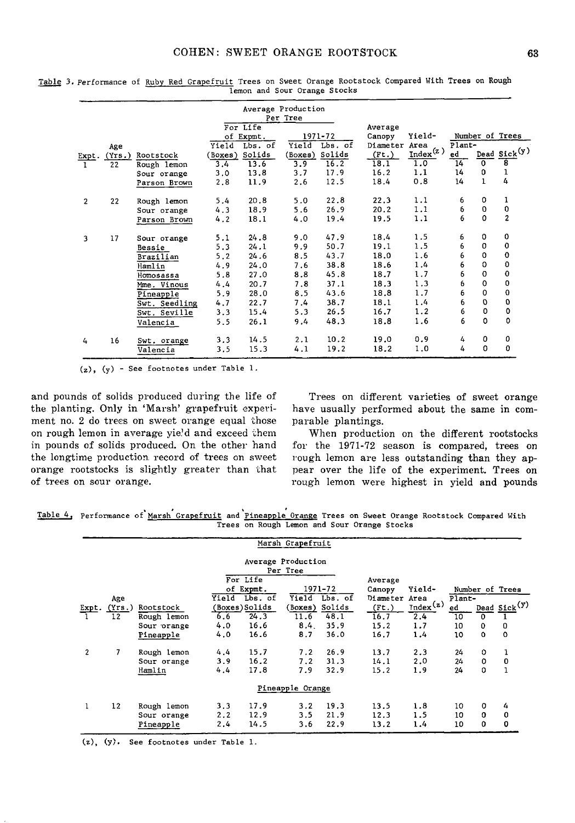|              |        |               |         |                       | Average Production<br>Per Tree |                    |                               |                                             |        |              |                          |
|--------------|--------|---------------|---------|-----------------------|--------------------------------|--------------------|-------------------------------|---------------------------------------------|--------|--------------|--------------------------|
|              |        |               |         | For Life<br>of Expmt. |                                | 1971-72<br>Lbs. of | Average<br>Canopy<br>Diameter | Yield-<br>Area                              | Plant- |              | Number of Trees          |
|              | Age    |               | Yield   | Lbs. of               | Yield                          | Solids             |                               | $\underline{\texttt{Index}}^{\texttt{(z)}}$ | ed     |              | Dead Sick <sup>(y)</sup> |
| Expt.        | (Yrs.) | Rootstock     | (Boxes) | Solids                | (Boxes)                        | 16.2               | (It.)<br>18.1                 | 1.0                                         | 14     | $\mathbf 0$  | 8                        |
|              | 22     | Rough lemon   | 3.4     | 13.6                  | 3.9                            | 17.9               | 16.2                          | 1.1                                         | 14     | $\mathbf 0$  | ı                        |
|              |        | Sour orange   | 3.0     | 13.8                  | 3.7                            | 12.5               | 18.4                          | 0.8                                         | 14     | $\mathbf{1}$ | 4                        |
|              |        | Parson Brown  | 2.8     | 11.9                  | 2.6                            |                    |                               |                                             |        |              |                          |
| $\mathbf{2}$ | 22     | Rough lemon   | 5.4     | 20.8                  | 5.0                            | 22.8               | 22.3                          | 1.1                                         | 6      | 0            | ı                        |
|              |        | Sour orange   | 4.3     | 18.9                  | 5.6                            | 26.9               | 20.2                          | 1.1                                         | 6      | 0            | 0                        |
|              |        | Parson Brown  | 4.2     | 18.1                  | 4.0                            | 19.4               | 19.5                          | 1.1                                         | 6      | $\Omega$     | $\overline{2}$           |
| 3            | 17     | Sour orange   | 5.1     | 24.8                  | 9.0                            | 47.9               | 18.4                          | 1.5                                         | 6      | 0            | 0                        |
|              |        | Bessie        | 5.3     | 24.1                  | 9.9                            | 50.7               | 19.1                          | 1.5                                         | 6      | 0            | 0                        |
|              |        | Brazilian     | 5.2     | 24.6                  | 8.5                            | 43.7               | 18.0                          | 1.6                                         | 6      | $\mathbf 0$  | 0                        |
|              |        | Hamlin        | 4.9     | 24.0                  | 7.6                            | 38.8               | 18.6                          | 1.4                                         | 6      | $\Omega$     | 0                        |
|              |        | Homosassa     | 5.8     | 27.0                  | 8.8                            | 45.8               | 18.7                          | 1.7                                         | 6      | $\mathbf 0$  | 0                        |
|              |        | Mme. Vinous   | 4.4     | 20.7                  | 7.8                            | 37.1               | 18.3                          | 1.3                                         | 6      | $\Omega$     | 0                        |
|              |        | Pineapple     | 5.9     | 28.0                  | 8.5                            | 43.6               | 18.8                          | 1.7                                         | 6      | $\Omega$     | $\mathbf 0$              |
|              |        | Swt. Seedling | 4.7     | 22.7                  | 7.4                            | 38.7               | 18.1                          | 1.4                                         | 6      | O            | O                        |
|              |        | Swt. Seville  | 3.3     | 15.4                  | 5.3                            | 26.5               | 16.7                          | 1.2                                         | 6      | $\Omega$     | $\mathbf 0$              |
|              |        | Valencia      | 5.5     | 26.1                  | 9.4                            | 48.3               | 18.8                          | 1.6                                         | 6      | $\Omega$     | 0                        |
| 4            | 16     | Swt. orange   | 3.3     | 14.5                  | 2.1                            | 10.2               | 19.0                          | 0.9                                         | 4      | 0            | 0                        |
|              |        | Valencia      | 3.5     | 15.3                  | 4.1                            | 19.2               | 18.2                          | 1.0                                         | 4      | 0            | 0                        |

Table 3. Performance of Ruby Red Grapefruit Trees on Sweet Orange Rootstock Compared With Trees on Rough **lemon and Sour Orange Stocks** 

(z), (y) - See footnotes under Table 1.

and pounds of solids produced during the life of the planting. Only in 'Marsh' grapefruit experiment no. 2 do trees on sweet orange equal those on rough lemon in average yie'd and exceed them in pounds of solids produced. On the other hand the longtime production. record of trees on sweet orange rootstocks is slightly greater than that of trees on sour orange.

Trees on different varieties of sweet orange have usually performed about the same in comparable plantings.

When production on the different rootstocks for the 1971-72 season is compared, trees on rough lemon are less outstanding than they appear over the life of the experiment. Trees on rough lemon were highest in yield and pounds

Table 4, Performance of Marsh Grapefruit and Pineapple Orange Trees on Sweet Orange Rootstock Compared With **Trees on Rough Lemon and Sour Orange Stocks** 

|              |                      |                          |            |                       | Marsh Grapefruit               |               |                     |                             |          |               |                                        |
|--------------|----------------------|--------------------------|------------|-----------------------|--------------------------------|---------------|---------------------|-----------------------------|----------|---------------|----------------------------------------|
|              |                      |                          |            |                       | Average Production<br>Per Tree |               |                     |                             |          |               |                                        |
|              |                      |                          |            | For Life<br>of Expmt. |                                | 1971-72       | Average<br>Canopy   | Yield-                      |          |               | Number of Trees                        |
|              | Age                  |                          | Ÿield      | Lbs. of               |                                | Yield Lbs. of | Diameter            | Area                        | Plant-   |               |                                        |
|              | Expt. $(Yrs.)$<br>12 | Rootstock<br>Rough lemon | 6.6        | (Boxes)Solids<br>24.3 | (Boxes) Solids<br>11.6         | 48.1          | $($ Ft. $)$<br>16.7 | $_{\text{Index}}(z)$<br>2.4 | ed<br>10 | $\Omega$      | $\frac{\text{Dead}}{\text{Sizek}}$ (y) |
|              |                      | Sour orange              | 4.0<br>4.0 | 16.6<br>16.6          | 8.4.<br>8.7                    | 35.9<br>36.0  | 15.2<br>16.7        | 1.7<br>1.4                  | 10<br>10 | 0<br>$\Omega$ | 0<br>$\circ$                           |
|              |                      | Pineapple                |            |                       |                                |               |                     |                             |          |               |                                        |
| $\mathbf{2}$ | 7                    | Rough lemon              | 4.4        | 15.7<br>16.2          | 7.2<br>7.2                     | 26.9<br>31.3  | 13.7                | 2.3                         | 24       | 0<br>0        | ı                                      |
|              |                      | Sour orange<br>Hamlin    | 3.9<br>4.4 | 17.8                  | 7.9                            | 32.9          | 14.1<br>15.2        | 2.0<br>1.9                  | 24<br>24 | 0             | 0                                      |
|              |                      |                          |            |                       | Pineapple Orange               |               |                     |                             |          |               |                                        |
| ı            | 12                   | Rough lemon              | 3.3        | 17.9                  | 3.2                            | 19.3          | 13.5                | 1.8                         | 10       | 0             | 4                                      |
|              |                      | Sour orange<br>Pineapple | 2.2<br>2.4 | 12.9<br>14.5          | 3.5<br>3.6                     | 21.9<br>22.9  | 12.3<br>13.2        | 1.5<br>1.4                  | 10<br>10 | 0<br>0        | 0<br>0                                 |

(z), (y). **See footnotes** under Table 1.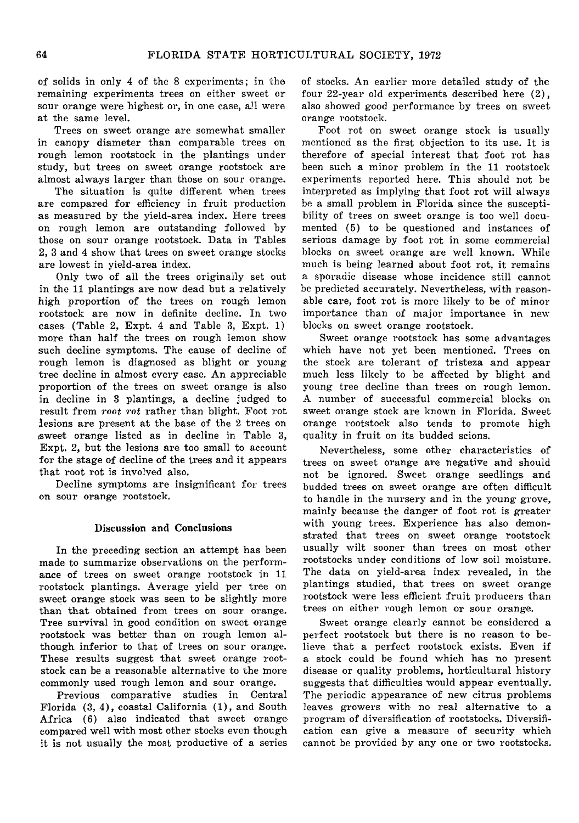of solids in only 4 of the 8 experiments; in the remaining experiments trees on either sweet or sour orange were highest or, in one case, all were at the same level.

Trees on sweet orange are somewhat smaller in canopy diameter than comparable trees on rough lemon rootstock in the plantings under study, but trees on sweet orange rootstock are almost always larger than those on sour orange.

The situation is quite different when trees are compared for efficiency in fruit production as measured by the yield-area index. Here trees on rough lemon are outstanding followed by those on sour orange rootstock. Data in Tables 2, 3 and 4 show that trees on sweet orange stocks are lowest in yield-area index.

Only two of all the trees originally set out in the 11 plantings are now dead but a relatively high proportion of the trees on rough lemon rootstock are now in definite decline. In two cases (Table 2, Expt. 4 and Table 3, Expt. 1) more than half the trees on rough lemon show such decline symptoms. The cause of decline of rough lemon is diagnosed as blight or young tree decline in almost every case. An appreciable proportion of the trees on sweet orange is also in decline in 3 plantings, a decline judged to result from *root rot* rather than blight. Foot rot lesions are present at the base of the 2 trees on sweet orange listed as in decline in Table 3, Expt. 2, but the lesions are too small to account for the stage of decline of the trees and it appears that root rot is involved also.

Decline symptoms are insignificant for trees on sour orange rootstock.

# Discussion and Conclusions

In the preceding section an attempt has been made to summarize observations on the performance of trees on sweet orange rootstock in 11 rootstock plantings. Average yield per tree on sweet orange stock was seen to be slightly more than that obtained from trees on sour orange. Tree survival in good condition on sweet orange rootstock was better than on rough lemon although inferior to that of trees on sour orange. These results suggest that sweet orange rootstock can be a reasonable alternative to the more commonly used rough lemon and sour orange.

Previous comparative studies in Central Florida (3, 4), coastal California (1), and South Africa (6) also indicated that sweet orange compared well with most other stocks even though it is not usually the most productive of a series

of stocks. An earlier more detailed study of the four 22-year old experiments described here (2), also showed good performance by trees on sweet orange rootstock.

Foot rot on sweet orange stock is usually mentioned as the first objection to its use. It is therefore of special interest that foot rot has been such a minor problem in the 11 rootstock experiments reported here. This should not be interpreted as implying that foot rot will always be a small problem in Florida since the susceptibility of trees on sweet orange is too well documented (5) to be questioned and instances of serious damage by foot rot in some commercial blocks on sweet orange are well known. While much is being learned about foot rot, it remains a sporadic disease whose incidence still cannot be predicted accurately. Nevertheless, with reasonable care, foot rot is more likely to be of minor importance than of major importance in new blocks on sweet orange rootstock.

Sweet orange rootstock has some advantages which have not yet been mentioned. Trees on the stock are tolerant of tristeza and appear much less likely to be affected by blight and young tree decline than trees on rough lemon. A number of successful commercial blocks on sweet orange stock are known in Florida. Sweet orange rootstock also tends to promote high quality in fruit on its budded scions.

Nevertheless, some other characteristics of trees on sweet orange are negative and should not be ignored. Sweet orange seedlings and budded trees on sweet orange are often difficult to handle in the nursery and in the young grove, mainly because the danger of foot rot is greater with young trees. Experience has also demonstrated that trees on sweet orange rootstock usually wilt sooner than trees on most other rootstocks under conditions of low soil moisture. The data on yield-area index revealed, in the plantings studied, that trees on sweet orange rootstock were less efficient fruit producers than trees on either rough lemon or sour orange.

Sweet orange clearly cannot be considered a perfect rootstock but there is no reason to believe that a perfect rootstock exists. Even if a stock could be found which has no present disease or quality problems, horticultural history suggests that difficulties would appear eventually. The periodic appearance of new citrus problems leaves growers with no real alternative to a program of diversification of rootstocks. Diversification can give a measure of security which cannot be provided by any one or two rootstocks.